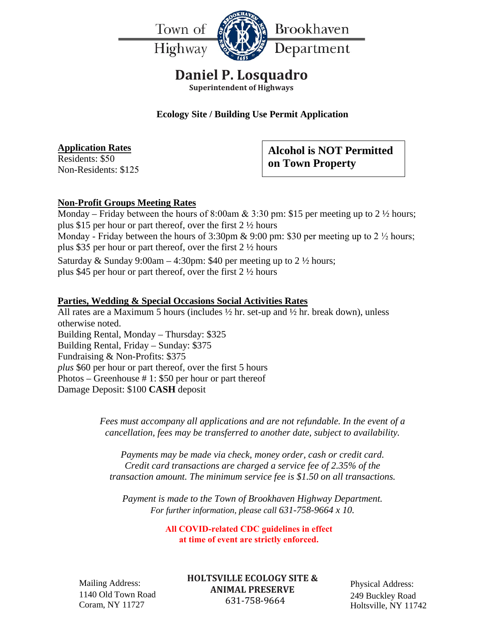

## **Daniel P. Losquadro**

**Superintendent of Highways**

**Ecology Site / Building Use Permit Application**

**Application Rates** Residents: \$50 Non-Residents: \$125 **Alcohol is NOT Permitted on Town Property**

### **Non-Profit Groups Meeting Rates**

Monday – Friday between the hours of 8:00am  $& 3:30$  pm: \$15 per meeting up to 2  $\frac{1}{2}$  hours; plus \$15 per hour or part thereof, over the first 2 ½ hours Monday - Friday between the hours of 3:30pm & 9:00 pm: \$30 per meeting up to 2  $\frac{1}{2}$  hours; plus \$35 per hour or part thereof, over the first 2 ½ hours

Saturday & Sunday 9:00am – 4:30pm: \$40 per meeting up to  $2\frac{1}{2}$  hours; plus \$45 per hour or part thereof, over the first 2 ½ hours

### **Parties, Wedding & Special Occasions Social Activities Rates**

All rates are a Maximum 5 hours (includes  $\frac{1}{2}$  hr. set-up and  $\frac{1}{2}$  hr. break down), unless otherwise noted. Building Rental, Monday – Thursday: \$325 Building Rental, Friday – Sunday: \$375 Fundraising & Non-Profits: \$375 *plus* \$60 per hour or part thereof, over the first 5 hours Photos – Greenhouse # 1: \$50 per hour or part thereof Damage Deposit: \$100 **CASH** deposit

> *Fees must accompany all applications and are not refundable. In the event of a cancellation, fees may be transferred to another date, subject to availability.*

*Payments may be made via check, money order, cash or credit card. Credit card transactions are charged a service fee of 2.35% of the transaction amount. The minimum service fee is \$1.50 on all transactions.* 

*Payment is made to the Town of Brookhaven Highway Department. For further information, please call 631-758-9664 x 10.* 

> **All COVID-related CDC guidelines in effect at time of event are strictly enforced.**

Mailing Address: 1140 Old Town Road Coram, NY 11727

**HOLTSVILLE ECOLOGY SITE & ANIMAL PRESERVE** 631-758-9664

Physical Address: 249 Buckley Road Holtsville, NY 11742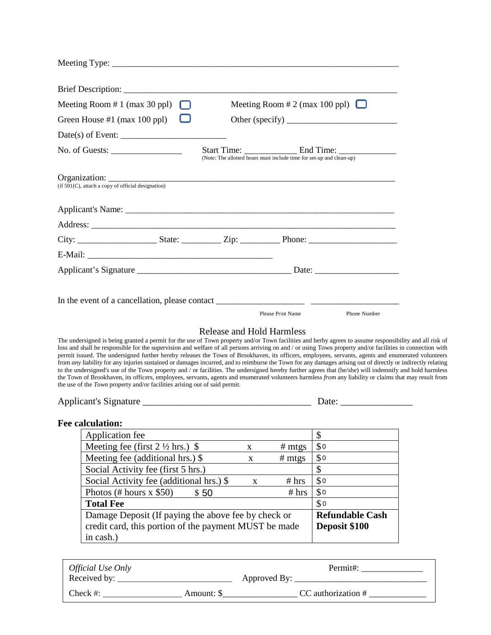| Meeting Room $# 1$ (max 30 ppl)<br>Meeting Room # 2 (max 100 ppl) $\Box$<br>$\mathbb{L}^{\mathbb{L}}$                                                                                                                                                                                                                                                                                                                                                                                                                                                                                                                                                                                                                                                                                                                                                                                                                                                                                                                                                                                                                  |                        |  |  |  |  |
|------------------------------------------------------------------------------------------------------------------------------------------------------------------------------------------------------------------------------------------------------------------------------------------------------------------------------------------------------------------------------------------------------------------------------------------------------------------------------------------------------------------------------------------------------------------------------------------------------------------------------------------------------------------------------------------------------------------------------------------------------------------------------------------------------------------------------------------------------------------------------------------------------------------------------------------------------------------------------------------------------------------------------------------------------------------------------------------------------------------------|------------------------|--|--|--|--|
| Green House #1 (max 100 ppl)                                                                                                                                                                                                                                                                                                                                                                                                                                                                                                                                                                                                                                                                                                                                                                                                                                                                                                                                                                                                                                                                                           |                        |  |  |  |  |
|                                                                                                                                                                                                                                                                                                                                                                                                                                                                                                                                                                                                                                                                                                                                                                                                                                                                                                                                                                                                                                                                                                                        |                        |  |  |  |  |
|                                                                                                                                                                                                                                                                                                                                                                                                                                                                                                                                                                                                                                                                                                                                                                                                                                                                                                                                                                                                                                                                                                                        |                        |  |  |  |  |
| No. of Guests: $\frac{1}{\sqrt{1-\frac{1}{2}}}\frac{1}{\sqrt{1-\frac{1}{2}}}\frac{1}{\sqrt{1-\frac{1}{2}}}\frac{1}{\sqrt{1-\frac{1}{2}}}\frac{1}{\sqrt{1-\frac{1}{2}}}\frac{1}{\sqrt{1-\frac{1}{2}}}\frac{1}{\sqrt{1-\frac{1}{2}}}\frac{1}{\sqrt{1-\frac{1}{2}}}\frac{1}{\sqrt{1-\frac{1}{2}}}\frac{1}{\sqrt{1-\frac{1}{2}}}\frac{1}{\sqrt{1-\frac{1}{2}}}\frac{1}{\sqrt{1-\frac{1}{2}}}\frac{1}{\sqrt{1-\frac{1$<br>(Note: The allotted hours must include time for set-up and clean-up)                                                                                                                                                                                                                                                                                                                                                                                                                                                                                                                                                                                                                              |                        |  |  |  |  |
|                                                                                                                                                                                                                                                                                                                                                                                                                                                                                                                                                                                                                                                                                                                                                                                                                                                                                                                                                                                                                                                                                                                        |                        |  |  |  |  |
| $Organization:$<br>(if 501(C), attach a copy of official designation)                                                                                                                                                                                                                                                                                                                                                                                                                                                                                                                                                                                                                                                                                                                                                                                                                                                                                                                                                                                                                                                  |                        |  |  |  |  |
|                                                                                                                                                                                                                                                                                                                                                                                                                                                                                                                                                                                                                                                                                                                                                                                                                                                                                                                                                                                                                                                                                                                        |                        |  |  |  |  |
|                                                                                                                                                                                                                                                                                                                                                                                                                                                                                                                                                                                                                                                                                                                                                                                                                                                                                                                                                                                                                                                                                                                        |                        |  |  |  |  |
|                                                                                                                                                                                                                                                                                                                                                                                                                                                                                                                                                                                                                                                                                                                                                                                                                                                                                                                                                                                                                                                                                                                        |                        |  |  |  |  |
|                                                                                                                                                                                                                                                                                                                                                                                                                                                                                                                                                                                                                                                                                                                                                                                                                                                                                                                                                                                                                                                                                                                        |                        |  |  |  |  |
|                                                                                                                                                                                                                                                                                                                                                                                                                                                                                                                                                                                                                                                                                                                                                                                                                                                                                                                                                                                                                                                                                                                        |                        |  |  |  |  |
|                                                                                                                                                                                                                                                                                                                                                                                                                                                                                                                                                                                                                                                                                                                                                                                                                                                                                                                                                                                                                                                                                                                        |                        |  |  |  |  |
| Phone Number<br>Please Print Name<br><b>Release and Hold Harmless</b><br>The undersigned is being granted a permit for the use of Town property and/or Town facilities and herby agrees to assume responsibility and all risk of<br>loss and shall be responsible for the supervision and welfare of all persons arriving on and / or using Town property and/or facilities in connection with<br>permit issued. The undersigned further hereby releases the Town of Brookhaven, its officers, employees, servants, agents and enumerated volunteers<br>from any liability for any injuries sustained or damages incurred, and to reimburse the Town for any damages arising out of directly or indirectly relating<br>to the undersigned's use of the Town property and / or facilities. The undersigned hereby further agrees that (he/she) will indemnify and hold harmless<br>the Town of Brookhaven, its officers, employees, servants, agents and enumerated volunteers harmless from any liability or claims that may result from<br>the use of the Town property and/or facilities arising out of said permit. |                        |  |  |  |  |
|                                                                                                                                                                                                                                                                                                                                                                                                                                                                                                                                                                                                                                                                                                                                                                                                                                                                                                                                                                                                                                                                                                                        |                        |  |  |  |  |
| <b>Fee calculation:</b>                                                                                                                                                                                                                                                                                                                                                                                                                                                                                                                                                                                                                                                                                                                                                                                                                                                                                                                                                                                                                                                                                                |                        |  |  |  |  |
| Application fee                                                                                                                                                                                                                                                                                                                                                                                                                                                                                                                                                                                                                                                                                                                                                                                                                                                                                                                                                                                                                                                                                                        | \$                     |  |  |  |  |
| Meeting fee (first $2 \frac{1}{2}$ hrs.) \$<br># m <sub>ts</sub><br>$\mathbf{X}$                                                                                                                                                                                                                                                                                                                                                                                                                                                                                                                                                                                                                                                                                                                                                                                                                                                                                                                                                                                                                                       | \$0                    |  |  |  |  |
| Meeting fee (additional hrs.) \$<br># m <sub>tgs</sub><br>$\mathbf X$<br>Social Activity fee (first 5 hrs.)                                                                                                                                                                                                                                                                                                                                                                                                                                                                                                                                                                                                                                                                                                                                                                                                                                                                                                                                                                                                            | \$0<br>\$              |  |  |  |  |
| Social Activity fee (additional hrs.) \$<br># hrs                                                                                                                                                                                                                                                                                                                                                                                                                                                                                                                                                                                                                                                                                                                                                                                                                                                                                                                                                                                                                                                                      | \$0                    |  |  |  |  |
| $\mathbf X$<br>Photos (# hours $x$ \$50)<br># hrs<br>\$50                                                                                                                                                                                                                                                                                                                                                                                                                                                                                                                                                                                                                                                                                                                                                                                                                                                                                                                                                                                                                                                              | \$0                    |  |  |  |  |
| <b>Total Fee</b>                                                                                                                                                                                                                                                                                                                                                                                                                                                                                                                                                                                                                                                                                                                                                                                                                                                                                                                                                                                                                                                                                                       | \$0                    |  |  |  |  |
| Damage Deposit (If paying the above fee by check or                                                                                                                                                                                                                                                                                                                                                                                                                                                                                                                                                                                                                                                                                                                                                                                                                                                                                                                                                                                                                                                                    | <b>Refundable Cash</b> |  |  |  |  |
| credit card, this portion of the payment MUST be made<br>in cash.)                                                                                                                                                                                                                                                                                                                                                                                                                                                                                                                                                                                                                                                                                                                                                                                                                                                                                                                                                                                                                                                     | Deposit \$100          |  |  |  |  |
|                                                                                                                                                                                                                                                                                                                                                                                                                                                                                                                                                                                                                                                                                                                                                                                                                                                                                                                                                                                                                                                                                                                        |                        |  |  |  |  |

| <i><b>Official Use Only</b></i> |            | Permit#:           |
|---------------------------------|------------|--------------------|
| Received by:                    |            | Approved By:       |
| Check $#$ :                     | Amount: \$ | CC authorization # |